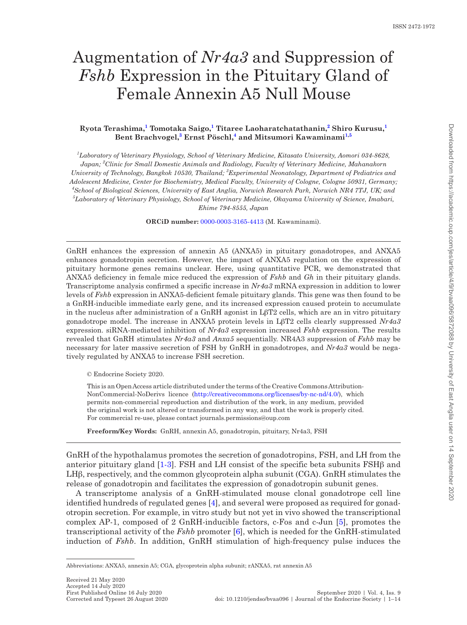# Augmentation of *Nr4a3* and Suppression of *Fshb* Expression in the Pituitary Gland of Female Annexin A5 Null Mouse

## **Ryota Terashima, [1](#page-0-0) Tomotaka Saigo, [1](#page-0-0) Titaree Laoharatchatathanin, [2](#page-0-1) Shiro Kurusu, [1](#page-0-0) Bent Brachvogel, [3](#page-0-2) Ernst Pöschl, [4](#page-0-3) and [Mitsumori Kawaminami](http://orcid.org/0000-0003-3165-4413)[1](#page-0-0)[,5](#page-0-4)**

<span id="page-0-4"></span><span id="page-0-3"></span><span id="page-0-2"></span><span id="page-0-1"></span><span id="page-0-0"></span>*1 Laboratory of Veterinary Physiology, School of Veterinary Medicine, Kitasato University, Aomori 034-8628, Japan; <sup>2</sup> Clinic for Small Domestic Animals and Radiology, Faculty of Veterinary Medicine, Mahanakorn*  University of Technology, Bangkok 10530, Thailand; <sup>3</sup> Experimental Neonatology, Department of Pediatrics and *Adolescent Medicine, Center for Biochemistry, Medical Faculty, University of Cologne, Cologne 50931, Germany; 4 School of Biological Sciences, University of East Anglia, Norwich Research Park, Norwich NR4 7TJ, UK; and 5 Laboratory of Veterinary Physiology, School of Veterinary Medicine, Okayama University of Science, Imabari, Ehime 794-8555, Japan*

**ORCiD number:** [0000-0003-3165-4413](http://orcid.org/0000-0003-3165-4413) (M. Kawaminami).

GnRH enhances the expression of annexin A5 (ANXA5) in pituitary gonadotropes, and ANXA5 enhances gonadotropin secretion. However, the impact of ANXA5 regulation on the expression of pituitary hormone genes remains unclear. Here, using quantitative PCR, we demonstrated that ANXA5 deficiency in female mice reduced the expression of *Fshb* and *Gh* in their pituitary glands. Transcriptome analysis confirmed a specific increase in *Nr4a3* mRNA expression in addition to lower levels of *Fshb* expression in ANXA5-deficient female pituitary glands. This gene was then found to be a GnRH-inducible immediate early gene, and its increased expression caused protein to accumulate in the nucleus after administration of a GnRH agonist in LβT2 cells, which are an in vitro pituitary gonadotrope model. The increase in ANXA5 protein levels in LβT2 cells clearly suppressed *Nr4a3* expression. siRNA-mediated inhibition of *Nr4a3* expression increased *Fshb* expression. The results revealed that GnRH stimulates *Nr4a3* and *Anxa5* sequentially. NR4A3 suppression of *Fshb* may be necessary for later massive secretion of FSH by GnRH in gonadotropes, and *Nr4a3* would be negatively regulated by ANXA5 to increase FSH secretion.

© Endocrine Society 2020.

-

Ī

This is an Open Access article distributed under the terms of the Creative Commons Attribution-NonCommercial-NoDerivs licence [\(http://creativecommons.org/licenses/by-nc-nd/4.0/](http://creativecommons.org/licenses/by-nc-nd/4.0/)), which permits non-commercial reproduction and distribution of the work, in any medium, provided the original work is not altered or transformed in any way, and that the work is properly cited. For commercial re-use, please contact journals.permissions@oup.com

**Freeform/Key Words:** GnRH, annexin A5, gonadotropin, pituitary, Nr4a3, FSH

GnRH of the hypothalamus promotes the secretion of gonadotropins, FSH, and LH from the anterior pituitary gland  $[1-3]$  $[1-3]$ . FSH and LH consist of the specific beta subunits  $FSH\beta$  and LHβ, respectively, and the common glycoprotein alpha subunit (CGA). GnRH stimulates the release of gonadotropin and facilitates the expression of gonadotropin subunit genes.

A transcriptome analysis of a GnRH-stimulated mouse clonal gonadotrope cell line identified hundreds of regulated genes [\[4\]](#page-11-2), and several were proposed as required for gonadotropin secretion. For example, in vitro study but not yet in vivo showed the transcriptional complex AP-1, composed of 2 GnRH-inducible factors, c-Fos and c-Jun [\[5](#page-11-3)], promotes the transcriptional activity of the *Fshb* promoter [\[6\]](#page-11-4), which is needed for the GnRH-stimulated induction of *Fshb*. In addition, GnRH stimulation of high-frequency pulse induces the

Abbreviations: ANXA5, annexin A5; CGA, glycoprotein alpha subunit; rANXA5, rat annexin A5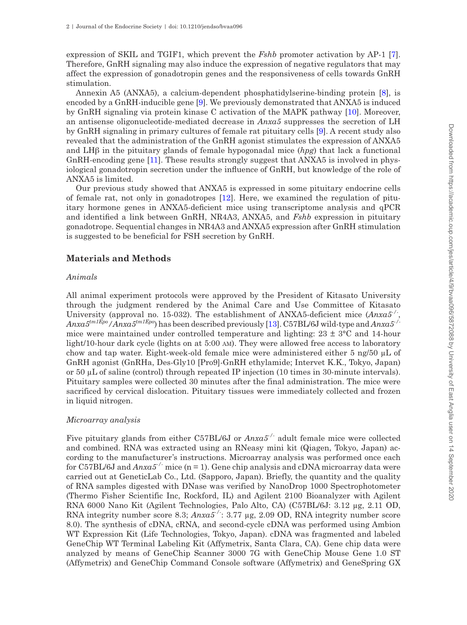expression of SKIL and TGIF1, which prevent the *Fshb* promoter activation by AP-1 [\[7\]](#page-11-5). Therefore, GnRH signaling may also induce the expression of negative regulators that may affect the expression of gonadotropin genes and the responsiveness of cells towards GnRH stimulation.

Annexin A5 (ANXA5), a calcium-dependent phosphatidylserine-binding protein [\[8\]](#page-11-6), is encoded by a GnRH-inducible gene [[9](#page-11-7)]. We previously demonstrated that ANXA5 is induced by GnRH signaling via protein kinase C activation of the MAPK pathway [[10\]](#page-11-8). Moreover, an antisense oligonucleotide-mediated decrease in *Anxa5* suppresses the secretion of LH by GnRH signaling in primary cultures of female rat pituitary cells [\[9\]](#page-11-7). A recent study also revealed that the administration of the GnRH agonist stimulates the expression of ANXA5 and LHβ in the pituitary glands of female hypogonadal mice (*hpg*) that lack a functional GnRH-encoding gene [[11](#page-11-9)]. These results strongly suggest that ANXA5 is involved in physiological gonadotropin secretion under the influence of GnRH, but knowledge of the role of ANXA5 is limited.

Our previous study showed that ANXA5 is expressed in some pituitary endocrine cells of female rat, not only in gonadotropes [[12](#page-11-10)]. Here, we examined the regulation of pituitary hormone genes in ANXA5-deficient mice using transcriptome analysis and qPCR and identified a link between GnRH, NR4A3, ANXA5, and *Fshb* expression in pituitary gonadotrope. Sequential changes in NR4A3 and ANXA5 expression after GnRH stimulation is suggested to be beneficial for FSH secretion by GnRH.

## **Materials and Methods**

## *Animals*

All animal experiment protocols were approved by the President of Kitasato University through the judgment rendered by the Animal Care and Use Committee of Kitasato University (approval no. 15-032). The establishment of ANXA5-deficient mice (*Anxa5-/-*, *Anxa5tm1Epo/Anxa5tm1Epo*) has been described previously [\[13\]](#page-11-11). C57BL/6J wild-type and *Anxa5-/* mice were maintained under controlled temperature and lighting:  $23 \pm 3^{\circ}$ C and 14-hour light/10-hour dark cycle (lights on at 5:00 am). They were allowed free access to laboratory chow and tap water. Eight-week-old female mice were administered either 5 ng/50 µL of GnRH agonist (GnRHa, Des-Gly10 [Pro9]-GnRH ethylamide; Intervet K.K., Tokyo, Japan) or 50 µL of saline (control) through repeated IP injection (10 times in 30-minute intervals). Pituitary samples were collected 30 minutes after the final administration. The mice were sacrificed by cervical dislocation. Pituitary tissues were immediately collected and frozen in liquid nitrogen.

## *Microarray analysis*

Five pituitary glands from either C57BL/6J or *Anxa5-/-* adult female mice were collected and combined. RNA was extracted using an RNeasy mini kit (Qiagen, Tokyo, Japan) according to the manufacturer's instructions. Microarray analysis was performed once each for C57BL/6J and *Anxa5-/-* mice (n = 1). Gene chip analysis and cDNA microarray data were carried out at GeneticLab Co., Ltd. (Sapporo, Japan). Briefly, the quantity and the quality of RNA samples digested with DNase was verified by NanoDrop 1000 Spectrophotometer (Thermo Fisher Scientific Inc, Rockford, IL) and Agilent 2100 Bioanalyzer with Agilent RNA 6000 Nano Kit (Agilent Technologies, Palo Alto, CA) (C57BL/6J: 3.12 µg, 2.11 OD, RNA integrity number score 8.3;  $Anxa5$ <sup>-/-</sup>: 3.77 µg, 2.09 OD, RNA integrity number score 8.0). The synthesis of cDNA, cRNA, and second-cycle cDNA was performed using Ambion WT Expression Kit (Life Technologies, Tokyo, Japan). cDNA was fragmented and labeled GeneChip WT Terminal Labeling Kit (Affymetrix, Santa Clara, CA). Gene chip data were analyzed by means of GeneChip Scanner 3000 7G with GeneChip Mouse Gene 1.0 ST (Affymetrix) and GeneChip Command Console software (Affymetrix) and GeneSpring GX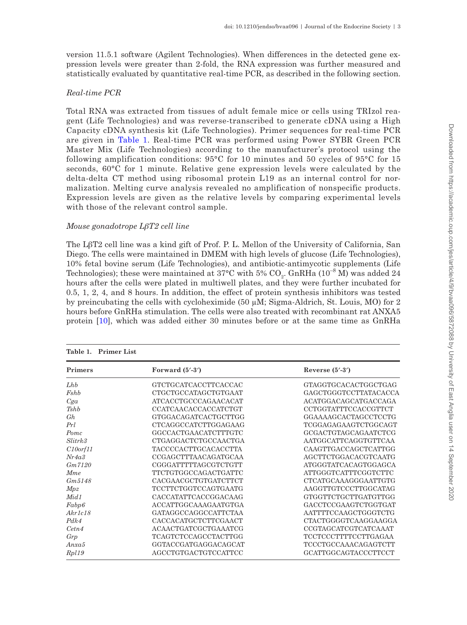version 11.5.1 software (Agilent Technologies). When differences in the detected gene expression levels were greater than 2-fold, the RNA expression was further measured and statistically evaluated by quantitative real-time PCR, as described in the following section.

## *Real-time PCR*

Total RNA was extracted from tissues of adult female mice or cells using TRIzol reagent (Life Technologies) and was reverse-transcribed to generate cDNA using a High Capacity cDNA synthesis kit (Life Technologies). Primer sequences for real-time PCR are given in [Table 1.](#page-2-0) Real-time PCR was performed using Power SYBR Green PCR Master Mix (Life Technologies) according to the manufacturer's protocol using the following amplification conditions: 95°C for 10 minutes and 50 cycles of 95°C for 15 seconds, 60°C for 1 minute. Relative gene expression levels were calculated by the delta-delta CT method using ribosomal protein L19 as an internal control for normalization. Melting curve analysis revealed no amplification of nonspecific products. Expression levels are given as the relative levels by comparing experimental levels with those of the relevant control sample.

## *Mouse gonadotrope LβT2 cell line*

The LβT2 cell line was a kind gift of Prof. P. L. Mellon of the University of California, San Diego. The cells were maintained in DMEM with high levels of glucose (Life Technologies), 10% fetal bovine serum (Life Technologies), and antibiotic-antimycotic supplements (Life Technologies); these were maintained at 37°C with 5%  $\mathrm{CO}_2$ . GnRHa (10<sup>-8</sup> M) was added 24 hours after the cells were plated in multiwell plates, and they were further incubated for 0.5, 1, 2, 4, and 8 hours. In addition, the effect of protein synthesis inhibitors was tested by preincubating the cells with cycloheximide (50  $\mu$ M; Sigma-Aldrich, St. Louis, MO) for 2 hours before GnRHa stimulation. The cells were also treated with recombinant rat ANXA5 protein [[10\]](#page-11-8), which was added either 30 minutes before or at the same time as GnRHa

| Table 1. Primer List |                             |                             |  |
|----------------------|-----------------------------|-----------------------------|--|
| Primers              | Forward $(5'$ -3')          | Reverse $(5' - 3')$         |  |
| Lhb                  | GTCTGCATCACCTTCACCAC        | GTAGGTGCACACTGGCTGAG        |  |
| Fshb                 | CTGCTGCCATAGCTGTGAAT        | GAGCTGGGTCCTTATACACCA       |  |
| Cga                  | ATCACCTGCCCAGAACACAT        | ACATGGACAGCATGACCAGA        |  |
| <i>Tshb</i>          | CCATCAACACCACCATCTGT        | CCTGGTATTTCCACCGTTCT        |  |
| Gh                   | GTGGACAGATCACTGCTTGG        | GGAAAAGCACTAGCCTCCTG        |  |
| Prl                  | <b>CTCAGGCCATCTTGGAGAAG</b> | TCGGAGAGAAGTCTGGCAGT        |  |
| Pomc                 | GGCCACTGAACATCTTTGTC        | GCGACTGTAGCAGAATCTCG        |  |
| Slitrk3              | CTGAGGACTCTGCCAACTGA        | AATGGCATTCAGGTGTTCAA        |  |
| C10 or f11           | <b>TACCCCACTTGCACACCTTA</b> | CAAGTTGACCAGCTCATTGG        |  |
| Nr4a3                | CCGAGCTTTAACAGATGCAA        | AGCTTCTGGACACGTCAATG        |  |
| Gm7120               | CGGGATTTTTAGCGTCTGTT        | ATGGGTATCACAGTGGAGCA        |  |
| <b>Mme</b>           | TTCTGTGGCCAGACTGATTC        | ATTGGGTCATTTCGGTCTTC        |  |
| Gm5148               | CACGAACGCTGTGATCTTCT        | CTCATGCAAAGGGAATTGTG        |  |
| Mpz                  | <b>TCCTTCTGGTCCAGTGAATG</b> | AAGGTTGTCCCTTGGCATAG        |  |
| Mid1                 | CACCATATTCACCGGACAAG        | GTGGTTCTGCTTGATGTTGG        |  |
| Fabp6                | ACCATTGGCAAAGAATGTGA        | GACCTCCGAAGTCTGGTGAT        |  |
| Akr1c18              | GATAGGCCAGGCCATTCTAA        | AATTTTCCAAGCTGGGTCTG        |  |
| Pdk4                 | CACCACATGCTCTTCGAACT        | CTACTGGGGTCAAGGAAGGA        |  |
| Cetn4                | ACAACTGATCGCTGAAATCG        | CCGTAGCATCGTCATCAAAT        |  |
| Grp                  | <b>TCAGTCTCCAGCCTACTTGG</b> | TCCTCCCTTTTCCTTGAGAA        |  |
| Anxa5                | GGTACCGATGAGGACAGCAT        | <b>TCCCTGCCAAACAGAGTCTT</b> |  |
| Rpl19                | AGCCTGTGACTGTCCATTCC        | GCATTGGCAGTACCCTTCCT        |  |

<span id="page-2-0"></span>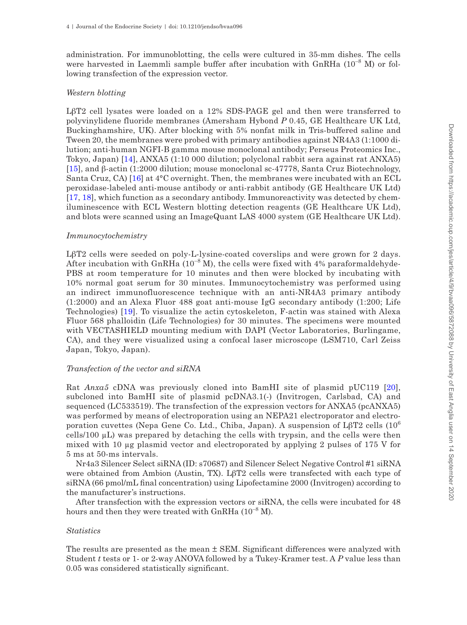administration. For immunoblotting, the cells were cultured in 35-mm dishes. The cells were harvested in Laemmli sample buffer after incubation with GnRHa (10<sup>-8</sup> M) or following transfection of the expression vector.

## *Western blotting*

LβT2 cell lysates were loaded on a 12% SDS-PAGE gel and then were transferred to polyvinylidene fluoride membranes (Amersham Hybond *P* 0.45, GE Healthcare UK Ltd, Buckinghamshire, UK). After blocking with 5% nonfat milk in Tris-buffered saline and Tween 20, the membranes were probed with primary antibodies against NR4A3 (1:1000 dilution; anti-human NGFI-B gamma mouse monoclonal antibody; Perseus Proteomics Inc., Tokyo, Japan) [\[14\]](#page-12-0), ANXA5 (1:10 000 dilution; polyclonal rabbit sera against rat ANXA5) [\[15\]](#page-12-1), and β-actin (1:2000 dilution; mouse monoclonal sc-47778, Santa Cruz Biotechnology, Santa Cruz, CA) [\[16\]](#page-12-2) at 4°C overnight. Then, the membranes were incubated with an ECL peroxidase-labeled anti-mouse antibody or anti-rabbit antibody (GE Healthcare UK Ltd) [\[17,](#page-12-3) [18](#page-12-4)], which function as a secondary antibody. Immunoreactivity was detected by chemiluminescence with ECL Western blotting detection reagents (GE Healthcare UK Ltd), and blots were scanned using an ImageQuant LAS 4000 system (GE Healthcare UK Ltd).

#### *Immunocytochemistry*

LβT2 cells were seeded on poly-L-lysine-coated coverslips and were grown for 2 days. After incubation with GnRHa  $(10^{-8}$  M), the cells were fixed with 4% paraformaldehyde-PBS at room temperature for 10 minutes and then were blocked by incubating with 10% normal goat serum for 30 minutes. Immunocytochemistry was performed using an indirect immunofluorescence technique with an anti-NR4A3 primary antibody (1:2000) and an Alexa Fluor 488 goat anti-mouse IgG secondary antibody (1:200; Life Technologies) [[19](#page-12-5)]. To visualize the actin cytoskeleton, F-actin was stained with Alexa Fluor 568 phalloidin (Life Technologies) for 30 minutes. The specimens were mounted with VECTASHIELD mounting medium with DAPI (Vector Laboratories, Burlingame, CA), and they were visualized using a confocal laser microscope (LSM710, Carl Zeiss Japan, Tokyo, Japan).

## *Transfection of the vector and siRNA*

Rat *Anxa5* cDNA was previously cloned into BamHI site of plasmid pUC119 [\[20\]](#page-12-6), subcloned into BamHI site of plasmid pcDNA3.1(-) (Invitrogen, Carlsbad, CA) and sequenced (LC533519). The transfection of the expression vectors for ANXA5 (pcANXA5) was performed by means of electroporation using an NEPA21 electroporator and electroporation cuvettes (Nepa Gene Co. Ltd., Chiba, Japan). A suspension of LβT2 cells (10<sup>6</sup>) cells/100 µL) was prepared by detaching the cells with trypsin, and the cells were then mixed with 10 µg plasmid vector and electroporated by applying 2 pulses of 175 V for 5 ms at 50-ms intervals.

Nr4a3 Silencer Select siRNA (ID: s70687) and Silencer Select Negative Control #1 siRNA were obtained from Ambion (Austin, TX). LβT2 cells were transfected with each type of siRNA (66 pmol/mL final concentration) using Lipofectamine 2000 (Invitrogen) according to the manufacturer's instructions.

After transfection with the expression vectors or siRNA, the cells were incubated for 48 hours and then they were treated with GnRHa  $(10^{-8}$  M).

#### *Statistics*

The results are presented as the mean  $\pm$  SEM. Significant differences were analyzed with Student *t* tests or 1- or 2-way ANOVA followed by a Tukey-Kramer test. A *P* value less than 0.05 was considered statistically significant.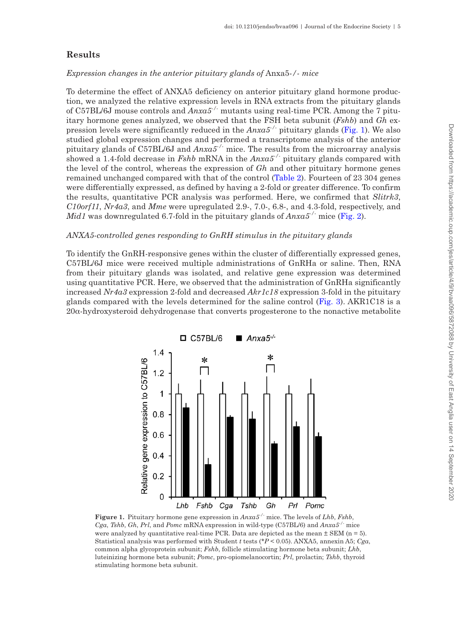## **Results**

#### *Expression changes in the anterior pituitary glands of* Anxa5*-/- mice*

To determine the effect of ANXA5 deficiency on anterior pituitary gland hormone production, we analyzed the relative expression levels in RNA extracts from the pituitary glands of C57BL/6J mouse controls and *Anxa5-/-* mutants using real-time PCR. Among the 7 pituitary hormone genes analyzed, we observed that the FSH beta subunit (*Fshb*) and *Gh* expression levels were significantly reduced in the *Anxa5-/-* pituitary glands ([Fig. 1](#page-4-0)). We also studied global expression changes and performed a transcriptome analysis of the anterior pituitary glands of C57BL/6J and *Anxa5-/-* mice. The results from the microarray analysis showed a 1.4-fold decrease in *Fshb* mRNA in the *Anxa5-/-* pituitary glands compared with the level of the control, whereas the expression of *Gh* and other pituitary hormone genes remained unchanged compared with that of the control ([Table 2](#page-5-0)). Fourteen of 23 304 genes were differentially expressed, as defined by having a 2-fold or greater difference. To confirm the results, quantitative PCR analysis was performed. Here, we confirmed that *Slitrk3*, *C10orf11*, *Nr4a3*, and *Mme* were upregulated 2.9-, 7.0-, 6.8-, and 4.3-fold, respectively, and *Mid1* was downregulated 6.7-fold in the pituitary glands of *Anxa5-/-* mice [\(Fig. 2\)](#page-5-1).

## *ANXA5-controlled genes responding to GnRH stimulus in the pituitary glands*

To identify the GnRH-responsive genes within the cluster of differentially expressed genes, C57BL/6J mice were received multiple administrations of GnRHa or saline. Then, RNA from their pituitary glands was isolated, and relative gene expression was determined using quantitative PCR. Here, we observed that the administration of GnRHa significantly increased *Nr4a3* expression 2-fold and decreased *Akr1c18* expression 3-fold in the pituitary glands compared with the levels determined for the saline control [\(Fig. 3](#page-6-0)). AKR1C18 is a 20α-hydroxysteroid dehydrogenase that converts progesterone to the nonactive metabolite



<span id="page-4-0"></span>**Figure 1.** Pituitary hormone gene expression in *Anxa5-/-* mice. The levels of *Lhb*, *Fshb*, *Cga*, *Tshb*, *Gh*, *Prl*, and *Pomc* mRNA expression in wild-type (C57BL/6) and *Anxa5-/-* mice were analyzed by quantitative real-time PCR. Data are depicted as the mean  $\pm$  SEM (n = 5). Statistical analysis was performed with Student *t* tests (\**P* < 0.05). ANXA5, annexin A5; *Cga*, common alpha glycoprotein subunit; *Fshb*, follicle stimulating hormone beta subunit; *Lhb*, luteinizing hormone beta subunit; *Pomc*, pro-opiomelanocortin; *Prl*, prolactin; *Tshb*, thyroid stimulating hormone beta subunit.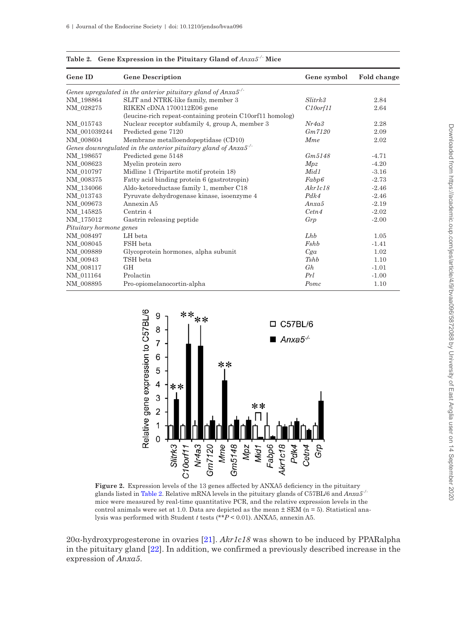| <b>Gene ID</b>          | <b>Gene Description</b>                                          | Gene symbol | Fold change |
|-------------------------|------------------------------------------------------------------|-------------|-------------|
|                         | Genes upregulated in the anterior pituitary gland of $Anxa5$ .   |             |             |
| NM 198864               | SLIT and NTRK-like family, member 3                              | Slitrk3     | 2.84        |
| NM_028275               | RIKEN cDNA 1700112E06 gene                                       | C10orf11    | 2.64        |
|                         | (leucine-rich repeat-containing protein C10orf11 homolog)        |             |             |
| NM 015743               | Nuclear receptor subfamily 4, group A, member 3                  | Nr4a3       | 2.28        |
| NM 001039244            | Predicted gene 7120                                              | Gm7120      | 2.09        |
| NM 008604               | Membrane metalloendopeptidase (CD10)                             | Mme         | 2.02        |
|                         | Genes downregulated in the anterior pituitary gland of $Anxa5$ . |             |             |
| NM_198657               | Predicted gene 5148                                              | Gm, 5148    | $-4.71$     |
| NM 008623               | Myelin protein zero                                              | Mpz         | $-4.20$     |
| NM 010797               | Midline 1 (Tripartite motif protein 18)                          | Mid 1       | $-3.16$     |
| NM 008375               | Fatty acid binding protein 6 (gastrotropin)                      | Fabp6       | $-2.73$     |
| NM 134066               | Aldo-ketoreductase family 1, member C18                          | Akr1c18     | $-2.46$     |
| NM 013743               | Pyruvate dehydrogenase kinase, isoenzyme 4                       | Pdk4        | $-2.46$     |
| NM_009673               | Annexin A5                                                       | Ansa5       | $-2.19$     |
| NM 145825               | Centrin <sub>4</sub>                                             | Cetn4       | $-2.02$     |
| NM 175012               | Gastrin releasing peptide                                        | Grp         | $-2.00$     |
| Pituitary hormone genes |                                                                  |             |             |
| NM 008497               | LH beta                                                          | Lhb         | 1.05        |
| NM 008045               | FSH beta                                                         | Fshb        | $-1.41$     |
| NM_009889               | Glycoprotein hormones, alpha subunit                             | Cga         | 1.02        |
| NM_00943                | TSH beta                                                         | Tshb        | 1.10        |
| NM 008117               | GH                                                               | Gh          | $-1.01$     |
| NM_011164               | Prolactin                                                        | Prl         | $-1.00$     |
| NM 008895               | Pro-opiomelanocortin-alpha                                       | Pomc        | 1.10        |

<span id="page-5-0"></span>**Table 2. Gene Expression in the Pituitary Gland of** *Anxa5-/-* **Mice**



<span id="page-5-1"></span>**Figure 2.** Expression levels of the 13 genes affected by ANXA5 deficiency in the pituitary glands listed in [Table 2.](#page-5-0) Relative mRNA levels in the pituitary glands of C57BL/6 and *Anxa5-/* mice were measured by real-time quantitative PCR, and the relative expression levels in the control animals were set at 1.0. Data are depicted as the mean  $\pm$  SEM (n = 5). Statistical analysis was performed with Student *t* tests (\*\**P* < 0.01). ANXA5, annexin A5.

20α-hydroxyprogesterone in ovaries [\[21](#page-12-7)]. *Akr1c18* was shown to be induced by PPARalpha in the pituitary gland [\[22](#page-12-8)]. In addition, we confirmed a previously described increase in the expression of *Anxa5*.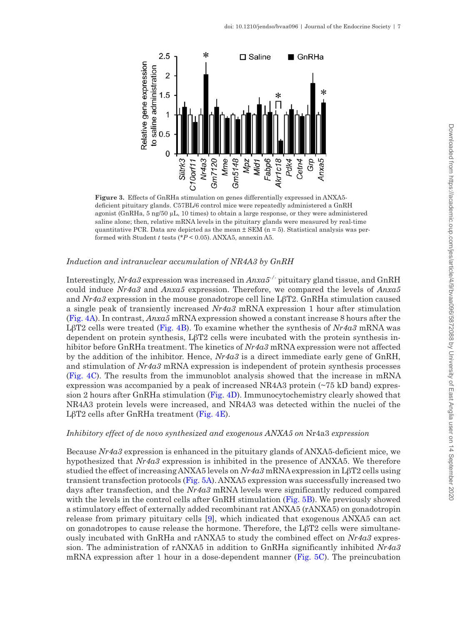

<span id="page-6-0"></span>**Figure 3.** Effects of GnRHa stimulation on genes differentially expressed in ANXA5 deficient pituitary glands. C57BL/6 control mice were repeatedly administered a GnRH agonist (GnRHa, 5 ng/50 µL, 10 times) to obtain a large response, or they were administered saline alone; then, relative mRNA levels in the pituitary glands were measured by real-time quantitative PCR. Data are depicted as the mean  $\pm$  SEM (n = 5). Statistical analysis was performed with Student *t* tests (\**P* < 0.05). ANXA5, annexin A5.

#### *Induction and intranuclear accumulation of NR4A3 by GnRH*

Interestingly, *Nr4a3* expression was increased in *Anxa5-/-* pituitary gland tissue, and GnRH could induce *Nr4a3* and *Anxa5* expression. Therefore, we compared the levels of *Anxa5* and *Nr4a3* expression in the mouse gonadotrope cell line LβT2. GnRHa stimulation caused a single peak of transiently increased *Nr4a3* mRNA expression 1 hour after stimulation [\(Fig. 4A](#page-7-0)). In contrast, *Anxa5* mRNA expression showed a constant increase 8 hours after the LβT2 cells were treated ([Fig. 4B\)](#page-7-0). To examine whether the synthesis of *Nr4a3* mRNA was dependent on protein synthesis, LβT2 cells were incubated with the protein synthesis inhibitor before GnRHa treatment. The kinetics of *Nr4a3* mRNA expression were not affected by the addition of the inhibitor. Hence, *Nr4a3* is a direct immediate early gene of GnRH, and stimulation of *Nr4a3* mRNA expression is independent of protein synthesis processes [\(Fig. 4C](#page-7-0)). The results from the immunoblot analysis showed that the increase in mRNA expression was accompanied by a peak of increased NR4A3 protein (~75 kD band) expression 2 hours after GnRHa stimulation [\(Fig. 4D](#page-7-0)). Immunocytochemistry clearly showed that NR4A3 protein levels were increased, and NR4A3 was detected within the nuclei of the LβT2 cells after GnRHa treatment ([Fig. 4E\)](#page-7-0).

#### *Inhibitory effect of de novo synthesized and exogenous ANXA5 on* Nr4a3 *expression*

Because *Nr4a3* expression is enhanced in the pituitary glands of ANXA5-deficient mice, we hypothesized that *Nr4a3* expression is inhibited in the presence of ANXA5. We therefore studied the effect of increasing ANXA5 levels on *Nr4a3* mRNA expression in LβT2 cells using transient transfection protocols [\(Fig. 5A](#page-8-0)). ANXA5 expression was successfully increased two days after transfection, and the *Nr4a3* mRNA levels were significantly reduced compared with the levels in the control cells after GnRH stimulation ([Fig. 5B](#page-8-0)). We previously showed a stimulatory effect of externally added recombinant rat ANXA5 (rANXA5) on gonadotropin release from primary pituitary cells [\[9\]](#page-11-7), which indicated that exogenous ANXA5 can act on gonadotropes to cause release the hormone. Therefore, the  $L\beta T2$  cells were simultaneously incubated with GnRHa and rANXA5 to study the combined effect on *Nr4a3* expression. The administration of rANXA5 in addition to GnRHa significantly inhibited *Nr4a3* mRNA expression after 1 hour in a dose-dependent manner ([Fig. 5C](#page-8-0)). The preincubation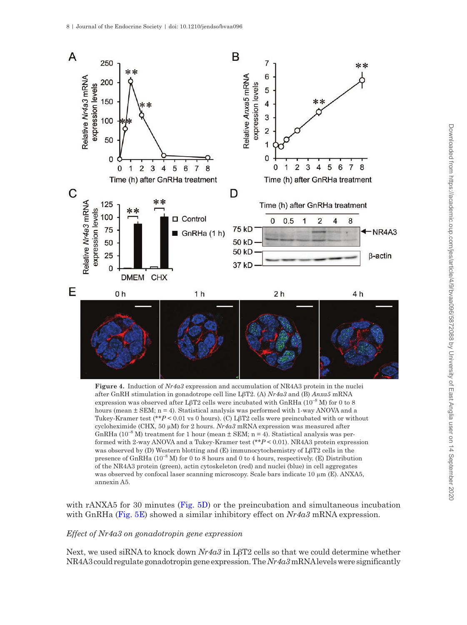

<span id="page-7-0"></span>**Figure 4.** Induction of *Nr4a3* expression and accumulation of NR4A3 protein in the nuclei after GnRH stimulation in gonadotrope cell line LβT2. (A) *Nr4a3* and (B) *Anxa5* mRNA expression was observed after LβT2 cells were incubated with GnRHa  $(10^{-8}$  M) for 0 to 8 hours (mean  $\pm$  SEM;  $n = 4$ ). Statistical analysis was performed with 1-way ANOVA and a Tukey-Kramer test (\*\**P* < 0.01 vs 0 hours). (C) LβT2 cells were preincubated with or without cycloheximide (CHX, 50  $\mu$ M) for 2 hours. *Nr4a3* mRNA expression was measured after GnRHa ( $10^{-8}$  M) treatment for 1 hour (mean  $\pm$  SEM; n = 4). Statistical analysis was performed with 2-way ANOVA and a Tukey-Kramer test (\*\**P* < 0.01). NR4A3 protein expression was observed by (D) Western blotting and (E) immunocytochemistry of LβT2 cells in the presence of GnRHa  $(10^{-8} M)$  for 0 to 8 hours and 0 to 4 hours, respectively. (E) Distribution of the NR4A3 protein (green), actin cytoskeleton (red) and nuclei (blue) in cell aggregates was observed by confocal laser scanning microscopy. Scale bars indicate 10  $\mu$ m (E). ANXA5, annexin A5.

with rANXA5 for 30 minutes ([Fig. 5D\)](#page-8-0) or the preincubation and simultaneous incubation with GnRHa ([Fig. 5E](#page-8-0)) showed a similar inhibitory effect on *Nr4a3* mRNA expression.

## *Effect of Nr4a3 on gonadotropin gene expression*

Next, we used siRNA to knock down *Nr4a3* in LβT2 cells so that we could determine whether NR4A3 could regulate gonadotropin gene expression. The *Nr4a3* mRNA levels were significantly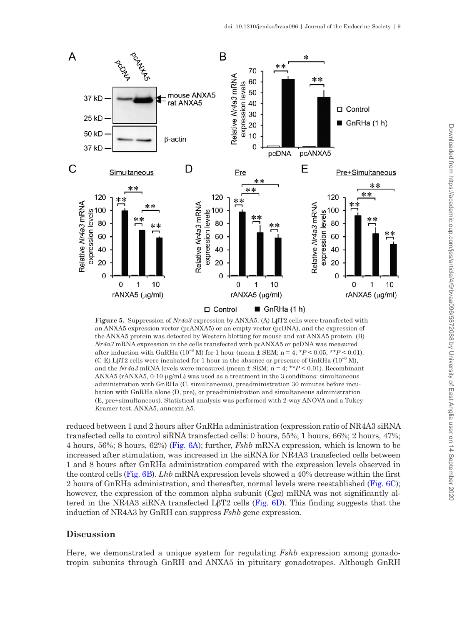

<span id="page-8-0"></span>**Figure 5.** Suppression of *Nr4a3* expression by ANXA5. (A) LβT2 cells were transfected with an ANXA5 expression vector (pcANXA5) or an empty vector (pcDNA), and the expression of the ANXA5 protein was detected by Western blotting for mouse and rat ANXA5 protein. (B) *Nr4a3* mRNA expression in the cells transfected with pcANXA5 or pcDNA was measured after induction with GnRHa  $(10^{-8}$  M) for 1 hour (mean  $\pm$  SEM; n = 4; \* $P$  < 0.05, \*\* $P$  < 0.01). (C-E) LβT2 cells were incubated for 1 hour in the absence or presence of GnRHa ( $10^{-8}$  M), and the *Nr4a3* mRNA levels were measured (mean ± SEM; n = 4; \*\**P* < 0.01). Recombinant ANXA5 (rANXA5, 0-10 µg/mL) was used as a treatment in the 3 conditions: simultaneous administration with GnRHa (C, simultaneous), preadministration 30 minutes before incubation with GnRHa alone (D, pre), or preadministration and simultaneous administration (E, pre+simultaneous). Statistical analysis was performed with 2-way ANOVA and a Tukey-Kramer test. ANXA5, annexin A5.

reduced between 1 and 2 hours after GnRHa administration (expression ratio of NR4A3 siRNA transfected cells to control siRNA transfected cells: 0 hours, 55%; 1 hours, 66%; 2 hours, 47%; 4 hours, 56%; 8 hours, 62%) [\(Fig. 6A](#page-9-0)); further, *Fshb* mRNA expression, which is known to be increased after stimulation, was increased in the siRNA for NR4A3 transfected cells between 1 and 8 hours after GnRHa administration compared with the expression levels observed in the control cells [\(Fig. 6B](#page-9-0)). *Lhb* mRNA expression levels showed a 40% decrease within the first 2 hours of GnRHa administration, and thereafter, normal levels were reestablished [\(Fig. 6C\)](#page-9-0); however, the expression of the common alpha subunit (*Cga*) mRNA was not significantly al-tered in the NR4A3 siRNA transfected LβT2 cells [\(Fig. 6D](#page-9-0)). This finding suggests that the induction of NR4A3 by GnRH can suppress *Fshb* gene expression.

## **Discussion**

Here, we demonstrated a unique system for regulating *Fshb* expression among gonadotropin subunits through GnRH and ANXA5 in pituitary gonadotropes. Although GnRH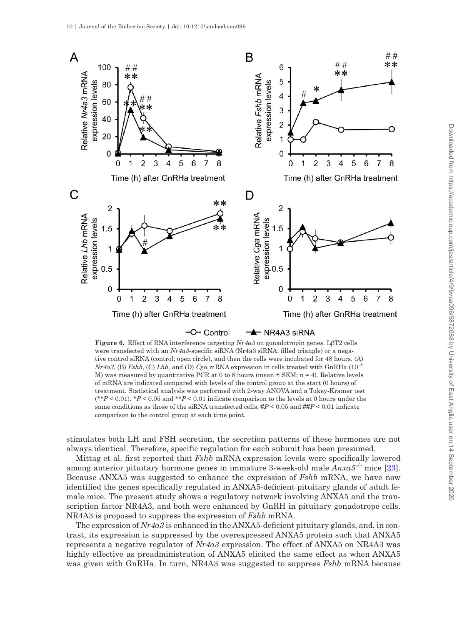

<span id="page-9-0"></span>**Figure 6.** Effect of RNA interference targeting *Nr4a3* on gonadotropin genes. LβT2 cells were transfected with an *Nr4a3*-specific siRNA (Nr4a3 siRNA; filled triangle) or a negative control siRNA (control; open circle), and then the cells were incubated for 48 hours. (A) *Nr4a3*, (B) *Fshb*, (C) *Lhb*, and (D) *Cga* mRNA expression in cells treated with GnRHa (10–8 M) was measured by quantitative PCR at 0 to 8 hours (mean  $\pm$  SEM; n = 4). Relative levels of mRNA are indicated compared with levels of the control group at the start (0 hours) of treatment. Statistical analysis was performed with 2-way ANOVA and a Tukey-Kramer test (\*\**P* < 0.01). \**P* < 0.05 and \*\**P* < 0.01 indicate comparison to the levels at 0 hours under the same conditions as those of the siRNA transfected cells; #*P* < 0.05 and ##*P* < 0.01 indicate comparison to the control group at each time point.

stimulates both LH and FSH secretion, the secretion patterns of these hormones are not always identical. Therefore, specific regulation for each subunit has been presumed.

Mittag et al. first reported that *Fshb* mRNA expression levels were specifically lowered among anterior pituitary hormone genes in immature 3-week-old male *Anxa5-/-* mice [[23\]](#page-12-9). Because ANXA5 was suggested to enhance the expression of *Fshb* mRNA, we have now identified the genes specifically regulated in ANXA5-deficient pituitary glands of adult female mice. The present study shows a regulatory network involving ANXA5 and the transcription factor NR4A3, and both were enhanced by GnRH in pituitary gonadotrope cells. NR4A3 is proposed to suppress the expression of *Fshb* mRNA.

The expression of *Nr4a3* is enhanced in the ANXA5-deficient pituitary glands, and, in contrast, its expression is suppressed by the overexpressed ANXA5 protein such that ANXA5 represents a negative regulator of *Nr4a3* expression. The effect of ANXA5 on NR4A3 was highly effective as preadministration of ANXA5 elicited the same effect as when ANXA5 was given with GnRHa. In turn, NR4A3 was suggested to suppress *Fshb* mRNA because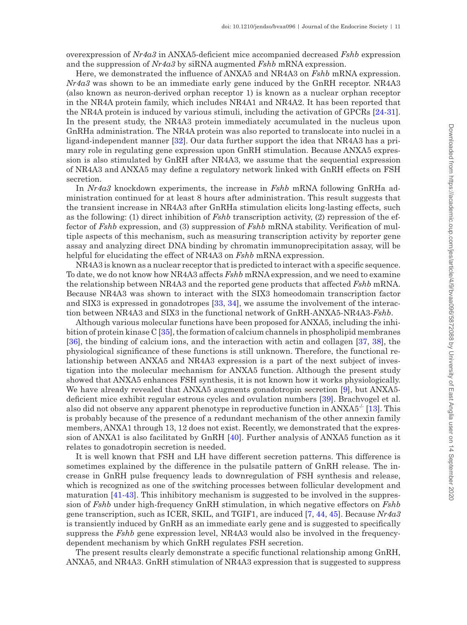overexpression of *Nr4a3* in ANXA5-deficient mice accompanied decreased *Fshb* expression and the suppression of *Nr4a3* by siRNA augmented *Fshb* mRNA expression.

Here, we demonstrated the influence of ANXA5 and NR4A3 on *Fshb* mRNA expression. *Nr4a3* was shown to be an immediate early gene induced by the GnRH receptor. NR4A3 (also known as neuron-derived orphan receptor 1) is known as a nuclear orphan receptor in the NR4A protein family, which includes NR4A1 and NR4A2. It has been reported that the NR4A protein is induced by various stimuli, including the activation of GPCRs [\[24](#page-12-10)-[31\]](#page-12-11). In the present study, the NR4A3 protein immediately accumulated in the nucleus upon GnRHa administration. The NR4A protein was also reported to translocate into nuclei in a ligand-independent manner [\[32](#page-12-12)]. Our data further support the idea that NR4A3 has a primary role in regulating gene expression upon GnRH stimulation. Because ANXA5 expression is also stimulated by GnRH after NR4A3, we assume that the sequential expression of NR4A3 and ANXA5 may define a regulatory network linked with GnRH effects on FSH secretion.

In *Nr4a3* knockdown experiments, the increase in *Fshb* mRNA following GnRHa administration continued for at least 8 hours after administration. This result suggests that the transient increase in NR4A3 after GnRHa stimulation elicits long-lasting effects, such as the following: (1) direct inhibition of *Fshb* transcription activity, (2) repression of the effector of *Fshb* expression, and (3) suppression of *Fshb* mRNA stability. Verification of multiple aspects of this mechanism, such as measuring transcription activity by reporter gene assay and analyzing direct DNA binding by chromatin immunoprecipitation assay, will be helpful for elucidating the effect of NR4A3 on *Fshb* mRNA expression.

NR4A3 is known as a nuclear receptor that is predicted to interact with a specific sequence. To date, we do not know how NR4A3 affects *Fshb* mRNA expression, and we need to examine the relationship between NR4A3 and the reported gene products that affected *Fshb* mRNA. Because NR4A3 was shown to interact with the SIX3 homeodomain transcription factor and SIX3 is expressed in gonadotropes [\[33,](#page-12-13) [34](#page-12-14)], we assume the involvement of the interaction between NR4A3 and SIX3 in the functional network of GnRH-ANXA5-NR4A3-*Fshb*.

Although various molecular functions have been proposed for ANXA5, including the inhibition of protein kinase C [[35\]](#page-12-15), the formation of calcium channels in phospholipid membranes [\[36](#page-12-16)], the binding of calcium ions, and the interaction with actin and collagen [\[37](#page-12-17), [38](#page-12-18)], the physiological significance of these functions is still unknown. Therefore, the functional relationship between ANXA5 and NR4A3 expression is a part of the next subject of investigation into the molecular mechanism for ANXA5 function. Although the present study showed that ANXA5 enhances FSH synthesis, it is not known how it works physiologically. We have already revealed that ANXA5 augments gonadotropin secretion [[9](#page-11-7)], but ANXA5deficient mice exhibit regular estrous cycles and ovulation numbers [\[39\]](#page-12-19). Brachvogel et al. also did not observe any apparent phenotype in reproductive function in  $ANXA5^{-1}$  [[13\]](#page-11-11). This is probably because of the presence of a redundant mechanism of the other annexin family members, ANXA1 through 13, 12 does not exist. Recently, we demonstrated that the expression of ANXA1 is also facilitated by GnRH [\[40](#page-12-20)]. Further analysis of ANXA5 function as it relates to gonadotropin secretion is needed.

It is well known that FSH and LH have different secretion patterns. This difference is sometimes explained by the difference in the pulsatile pattern of GnRH release. The increase in GnRH pulse frequency leads to downregulation of FSH synthesis and release, which is recognized as one of the switching processes between follicular development and maturation [[41](#page-13-0)[-43\]](#page-13-1). This inhibitory mechanism is suggested to be involved in the suppression of *Fshb* under high-frequency GnRH stimulation, in which negative effectors on *Fshb* gene transcription, such as ICER, SKIL, and TGIF1, are induced [\[7,](#page-11-5) [44](#page-13-2), [45\]](#page-13-3). Because *Nr4a3* is transiently induced by GnRH as an immediate early gene and is suggested to specifically suppress the *Fshb* gene expression level, NR4A3 would also be involved in the frequencydependent mechanism by which GnRH regulates FSH secretion.

The present results clearly demonstrate a specific functional relationship among GnRH, ANXA5, and NR4A3. GnRH stimulation of NR4A3 expression that is suggested to suppress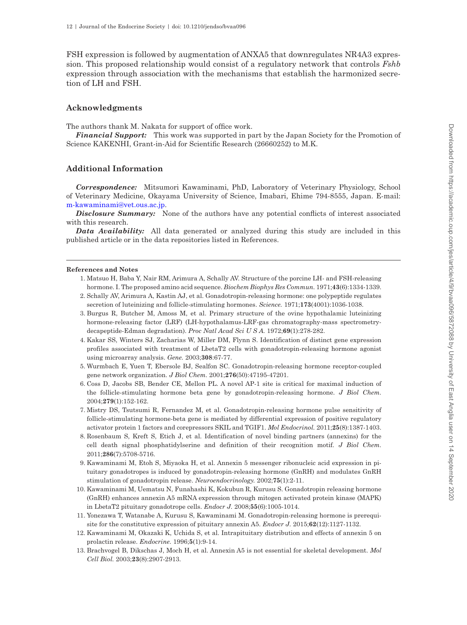FSH expression is followed by augmentation of ANXA5 that downregulates NR4A3 expression. This proposed relationship would consist of a regulatory network that controls *Fshb* expression through association with the mechanisms that establish the harmonized secretion of LH and FSH.

#### **Acknowledgments**

The authors thank M. Nakata for support of office work.

*Financial Support:* This work was supported in part by the Japan Society for the Promotion of Science KAKENHI, Grant-in-Aid for Scientific Research (26660252) to M.K.

#### **Additional Information**

*Correspondence:* Mitsumori Kawaminami, PhD, Laboratory of Veterinary Physiology, School of Veterinary Medicine, Okayama University of Science, Imabari, Ehime 794-8555, Japan. E-mail: [m-kawaminami@vet.ous.ac.jp](mailto:m-kawaminami@vet.ous.ac.jp?subject=).

*Disclosure Summary:* None of the authors have any potential conflicts of interest associated with this research.

*Data Availability:* All data generated or analyzed during this study are included in this published article or in the data repositories listed in References.

#### <span id="page-11-0"></span>**References and Notes**

- 1. Matsuo H, Baba Y, Nair RM, Arimura A, Schally AV. Structure of the porcine LH- and FSH-releasing hormone. I. The proposed amino acid sequence. *Biochem Biophys Res Commun.* 1971;**43**(6):1334-1339.
- 2. Schally AV, Arimura A, Kastin AJ, et al. Gonadotropin-releasing hormone: one polypeptide regulates secretion of luteinizing and follicle-stimulating hormones. *Science.* 1971;**173**(4001):1036-1038.
- <span id="page-11-1"></span>3. Burgus R, Butcher M, Amoss M, et al. Primary structure of the ovine hypothalamic luteinizing hormone-releasing factor (LRF) (LH-hypothalamus-LRF-gas chromatography-mass spectrometrydecapeptide-Edman degradation). *Proc Natl Acad Sci U S A.* 1972;**69**(1):278-282.
- <span id="page-11-2"></span>4. Kakar SS, Winters SJ, Zacharias W, Miller DM, Flynn S. Identification of distinct gene expression profiles associated with treatment of LbetaT2 cells with gonadotropin-releasing hormone agonist using microarray analysis. *Gene.* 2003;**308**:67-77.
- <span id="page-11-3"></span>5. Wurmbach E, Yuen T, Ebersole BJ, Sealfon SC. Gonadotropin-releasing hormone receptor-coupled gene network organization. *J Biol Chem.* 2001;**276**(50):47195-47201.
- <span id="page-11-4"></span>6. Coss D, Jacobs SB, Bender CE, Mellon PL. A novel AP-1 site is critical for maximal induction of the follicle-stimulating hormone beta gene by gonadotropin-releasing hormone. *J Biol Chem.* 2004;**279**(1):152-162.
- <span id="page-11-5"></span>7. Mistry DS, Tsutsumi R, Fernandez M, et al. Gonadotropin-releasing hormone pulse sensitivity of follicle-stimulating hormone-beta gene is mediated by differential expression of positive regulatory activator protein 1 factors and corepressors SKIL and TGIF1. *Mol Endocrinol.* 2011;**25**(8):1387-1403.
- <span id="page-11-6"></span>8. Rosenbaum S, Kreft S, Etich J, et al. Identification of novel binding partners (annexins) for the cell death signal phosphatidylserine and definition of their recognition motif. *J Biol Chem.* 2011;**286**(7):5708-5716.
- <span id="page-11-7"></span>9. Kawaminami M, Etoh S, Miyaoka H, et al. Annexin 5 messenger ribonucleic acid expression in pituitary gonadotropes is induced by gonadotropin-releasing hormone (GnRH) and modulates GnRH stimulation of gonadotropin release. *Neuroendocrinology.* 2002;**75**(1):2-11.
- <span id="page-11-8"></span>10. Kawaminami M, Uematsu N, Funahashi K, Kokubun R, Kurusu S. Gonadotropin releasing hormone (GnRH) enhances annexin A5 mRNA expression through mitogen activated protein kinase (MAPK) in LbetaT2 pituitary gonadotrope cells. *Endocr J.* 2008;**55**(6):1005-1014.
- <span id="page-11-9"></span>11. Yonezawa T, Watanabe A, Kurusu S, Kawaminami M. Gonadotropin-releasing hormone is prerequisite for the constitutive expression of pituitary annexin A5. *Endocr J.* 2015;**62**(12):1127-1132.
- <span id="page-11-10"></span>12. Kawaminami M, Okazaki K, Uchida S, et al. Intrapituitary distribution and effects of annexin 5 on prolactin release. *Endocrine.* 1996;**5**(1):9-14.
- <span id="page-11-11"></span>13. Brachvogel B, Dikschas J, Moch H, et al. Annexin A5 is not essential for skeletal development. *Mol Cell Biol.* 2003;**23**(8):2907-2913.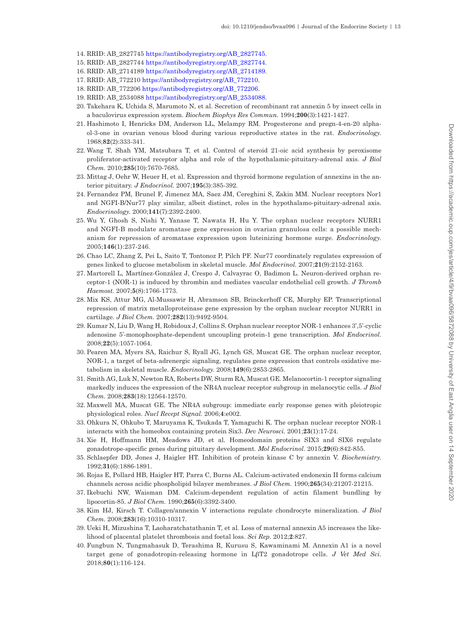- <span id="page-12-0"></span>14. RRID: AB\_2827745 [https://antibodyregistry.org/AB\\_2827745](https://antibodyregistry.org/AB_2827745).
- <span id="page-12-1"></span>15. RRID: AB\_2827744 [https://antibodyregistry.org/AB\\_2827744](https://antibodyregistry.org/AB_2827744).
- <span id="page-12-2"></span>16. RRID: AB\_2714189 [https://antibodyregistry.org/AB\\_2714189](https://antibodyregistry.org/AB_2714189).
- <span id="page-12-3"></span>17. RRID: AB\_772210 [https://antibodyregistry.org/AB\\_772210](https://antibodyregistry.org/AB_772210).
- <span id="page-12-4"></span>18. RRID: AB\_772206 [https://antibodyregistry.org/AB\\_772206](https://antibodyregistry.org/AB_772206).
- <span id="page-12-5"></span>19. RRID: AB\_2534088 [https://antibodyregistry.org/AB\\_2534088](https://antibodyregistry.org/AB_2534088).
- <span id="page-12-6"></span>20. Takehara K, Uchida S, Marumoto N, et al. Secretion of recombinant rat annexin 5 by insect cells in a baculovirus expression system. *Biochem Biophys Res Commun.* 1994;**200**(3):1421-1427.
- <span id="page-12-7"></span>21. Hashimoto I, Henricks DM, Anderson LL, Melampy RM. Progesterone and pregn-4-en-20 alphaol-3-one in ovarian venous blood during various reproductive states in the rat. *Endocrinology.* 1968;**82**(2):333-341.
- <span id="page-12-8"></span>22. Wang T, Shah YM, Matsubara T, et al. Control of steroid 21-oic acid synthesis by peroxisome proliferator-activated receptor alpha and role of the hypothalamic-pituitary-adrenal axis. *J Biol Chem.* 2010;**285**(10):7670-7685.
- <span id="page-12-9"></span>23. Mittag J, Oehr W, Heuer H, et al. Expression and thyroid hormone regulation of annexins in the anterior pituitary. *J Endocrinol.* 2007;**195**(3):385-392.
- <span id="page-12-10"></span>24. Fernandez PM, Brunel F, Jimenez MA, Saez JM, Cereghini S, Zakin MM. Nuclear receptors Nor1 and NGFI-B/Nur77 play similar, albeit distinct, roles in the hypothalamo-pituitary-adrenal axis. *Endocrinology.* 2000;**141**(7):2392-2400.
- 25. Wu Y, Ghosh S, Nishi Y, Yanase T, Nawata H, Hu Y. The orphan nuclear receptors NURR1 and NGFI-B modulate aromatase gene expression in ovarian granulosa cells: a possible mechanism for repression of aromatase expression upon luteinizing hormone surge. *Endocrinology.* 2005;**146**(1):237-246.
- 26. Chao LC, Zhang Z, Pei L, Saito T, Tontonoz P, Pilch PF. Nur77 coordinately regulates expression of genes linked to glucose metabolism in skeletal muscle. *Mol Endocrinol.* 2007;**21**(9):2152-2163.
- 27. Martorell L, Martínez-González J, Crespo J, Calvayrac O, Badimon L. Neuron-derived orphan receptor-1 (NOR-1) is induced by thrombin and mediates vascular endothelial cell growth. *J Thromb Haemost.* 2007;**5**(8):1766-1773.
- 28. Mix KS, Attur MG, Al-Mussawir H, Abramson SB, Brinckerhoff CE, Murphy EP. Transcriptional repression of matrix metalloproteinase gene expression by the orphan nuclear receptor NURR1 in cartilage. *J Biol Chem.* 2007;**282**(13):9492-9504.
- 29. Kumar N, Liu D, Wang H, Robidoux J, Collins S. Orphan nuclear receptor NOR-1 enhances 3',5'-cyclic adenosine 5'-monophosphate-dependent uncoupling protein-1 gene transcription. *Mol Endocrinol.* 2008;**22**(5):1057-1064.
- 30. Pearen MA, Myers SA, Raichur S, Ryall JG, Lynch GS, Muscat GE. The orphan nuclear receptor, NOR-1, a target of beta-adrenergic signaling, regulates gene expression that controls oxidative metabolism in skeletal muscle. *Endocrinology.* 2008;**149**(6):2853-2865.
- <span id="page-12-11"></span>31. Smith AG, Luk N, Newton RA, Roberts DW, Sturm RA, Muscat GE. Melanocortin-1 receptor signaling markedly induces the expression of the NR4A nuclear receptor subgroup in melanocytic cells. *J Biol Chem.* 2008;**283**(18):12564-12570.
- <span id="page-12-12"></span>32. Maxwell MA, Muscat GE. The NR4A subgroup: immediate early response genes with pleiotropic physiological roles. *Nucl Recept Signal.* 2006;**4**:e002.
- <span id="page-12-13"></span>33. Ohkura N, Ohkubo T, Maruyama K, Tsukada T, Yamaguchi K. The orphan nuclear receptor NOR-1 interacts with the homeobox containing protein Six3. *Dev Neurosci.* 2001;**23**(1):17-24.
- <span id="page-12-14"></span>34. Xie H, Hoffmann HM, Meadows JD, et al. Homeodomain proteins SIX3 and SIX6 regulate gonadotrope-specific genes during pituitary development. *Mol Endocrinol.* 2015;**29**(6):842-855.
- <span id="page-12-15"></span>35. Schlaepfer DD, Jones J, Haigler HT. Inhibition of protein kinase C by annexin V. *Biochemistry.* 1992;**31**(6):1886-1891.
- <span id="page-12-16"></span>36. Rojas E, Pollard HB, Haigler HT, Parra C, Burns AL. Calcium-activated endonexin II forms calcium channels across acidic phospholipid bilayer membranes. *J Biol Chem.* 1990;**265**(34):21207-21215.
- <span id="page-12-17"></span>37. Ikebuchi NW, Waisman DM. Calcium-dependent regulation of actin filament bundling by lipocortin-85. *J Biol Chem.* 1990;**265**(6):3392-3400.
- <span id="page-12-18"></span>38. Kim HJ, Kirsch T. Collagen/annexin V interactions regulate chondrocyte mineralization. *J Biol Chem.* 2008;**283**(16):10310-10317.
- <span id="page-12-19"></span>39. Ueki H, Mizushina T, Laoharatchatathanin T, et al. Loss of maternal annexin A5 increases the likelihood of placental platelet thrombosis and foetal loss. *Sci Rep.* 2012;**2**:827.
- <span id="page-12-20"></span>40. Fungbun N, Tungmahasuk D, Terashima R, Kurusu S, Kawaminami M. Annexin A1 is a novel target gene of gonadotropin-releasing hormone in LβT2 gonadotrope cells. *J Vet Med Sci.* 2018;**80**(1):116-124.